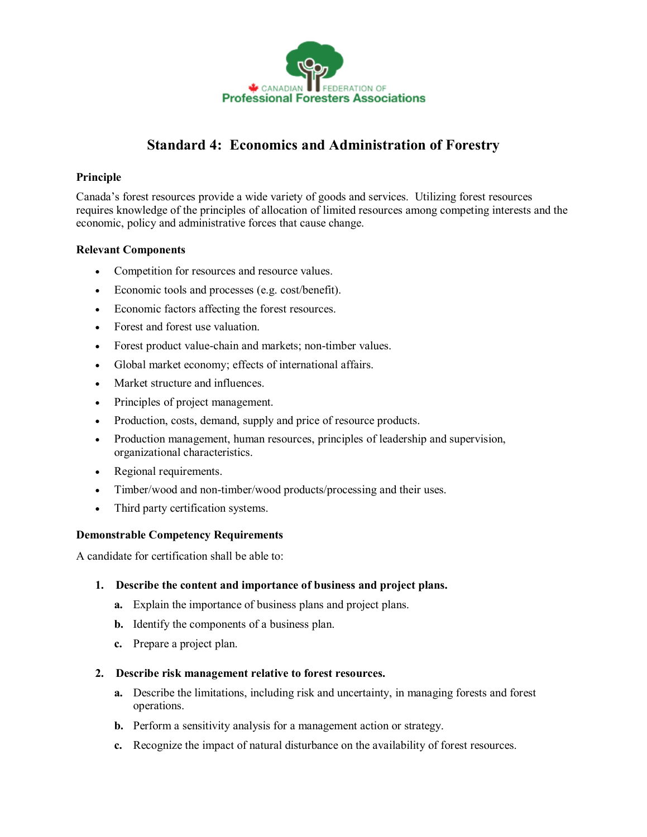

# **Standard 4: Economics and Administration of Forestry**

## **Principle**

Canada's forest resources provide a wide variety of goods and services. Utilizing forest resources requires knowledge of the principles of allocation of limited resources among competing interests and the economic, policy and administrative forces that cause change.

## **Relevant Components**

- · Competition for resources and resource values.
- · Economic tools and processes (e.g. cost/benefit).
- · Economic factors affecting the forest resources.
- · Forest and forest use valuation.
- Forest product value-chain and markets; non-timber values.
- · Global market economy; effects of international affairs.
- Market structure and influences
- · Principles of project management.
- Production, costs, demand, supply and price of resource products.
- · Production management, human resources, principles of leadership and supervision, organizational characteristics.
- · Regional requirements.
- Timber/wood and non-timber/wood products/processing and their uses.
- Third party certification systems.

#### **Demonstrable Competency Requirements**

A candidate for certification shall be able to:

#### **1. Describe the content and importance of business and project plans.**

- **a.** Explain the importance of business plans and project plans.
- **b.** Identify the components of a business plan.
- **c.** Prepare a project plan.

#### **2. Describe risk management relative to forest resources.**

- **a.** Describe the limitations, including risk and uncertainty, in managing forests and forest operations.
- **b.** Perform a sensitivity analysis for a management action or strategy.
- **c.** Recognize the impact of natural disturbance on the availability of forest resources.